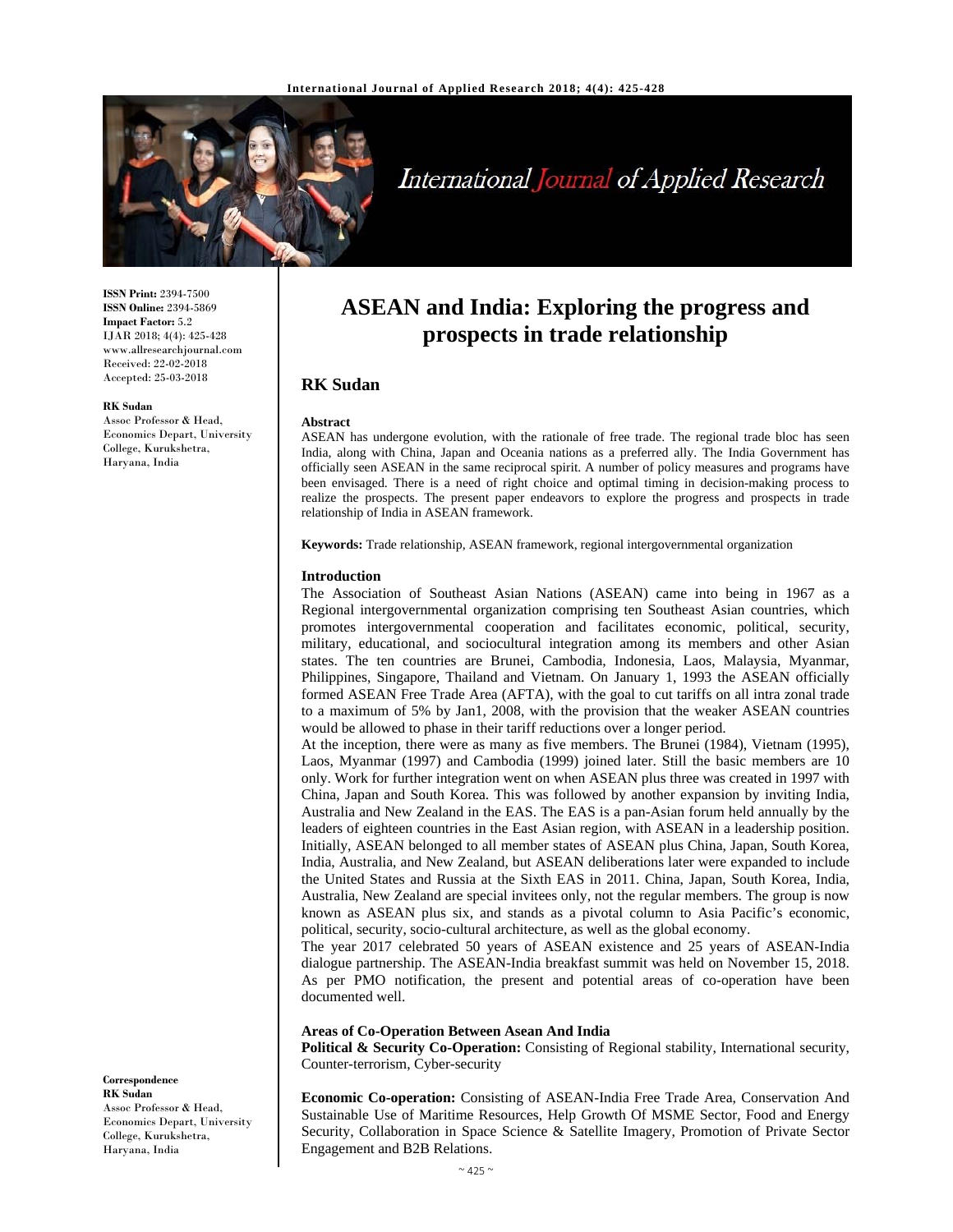

# International Journal of Applied Research

**ISSN Print:** 2394-7500 **ISSN Online:** 2394-5869 **Impact Factor:** 5.2 IJAR 2018; 4(4): 425-428 www.allresearchjournal.com Received: 22-02-2018 Accepted: 25-03-2018

#### **RK Sudan**

Assoc Professor & Head, Economics Depart, University College, Kurukshetra, Haryana, India

**ASEAN and India: Exploring the progress and prospects in trade relationship**

# **RK Sudan**

## **Abstract**

ASEAN has undergone evolution, with the rationale of free trade. The regional trade bloc has seen India, along with China, Japan and Oceania nations as a preferred ally. The India Government has officially seen ASEAN in the same reciprocal spirit. A number of policy measures and programs have been envisaged. There is a need of right choice and optimal timing in decision-making process to realize the prospects. The present paper endeavors to explore the progress and prospects in trade relationship of India in ASEAN framework.

**Keywords:** Trade relationship, ASEAN framework, regional intergovernmental organization

#### **Introduction**

The Association of Southeast Asian Nations (ASEAN) came into being in 1967 as a Regional intergovernmental organization comprising ten Southeast Asian countries, which promotes intergovernmental cooperation and facilitates economic, political, security, military, educational, and sociocultural integration among its members and other Asian states. The ten countries are Brunei, Cambodia, Indonesia, Laos, Malaysia, Myanmar, Philippines, Singapore, Thailand and Vietnam. On January 1, 1993 the ASEAN officially formed ASEAN Free Trade Area (AFTA), with the goal to cut tariffs on all intra zonal trade to a maximum of 5% by Jan1, 2008, with the provision that the weaker ASEAN countries would be allowed to phase in their tariff reductions over a longer period.

At the inception, there were as many as five members. The Brunei (1984), Vietnam (1995), Laos, Myanmar (1997) and Cambodia (1999) joined later. Still the basic members are 10 only. Work for further integration went on when ASEAN plus three was created in 1997 with China, Japan and South Korea. This was followed by another expansion by inviting India, Australia and New Zealand in the EAS. The EAS is a pan-Asian forum held annually by the leaders of eighteen countries in the East Asian region, with ASEAN in a leadership position. Initially, ASEAN belonged to all member states of ASEAN plus China, Japan, South Korea, India, Australia, and New Zealand, but ASEAN deliberations later were expanded to include the United States and Russia at the Sixth EAS in 2011. China, Japan, South Korea, India, Australia, New Zealand are special invitees only, not the regular members. The group is now known as ASEAN plus six, and stands as a pivotal column to Asia Pacific's economic, political, security, socio-cultural architecture, as well as the global economy.

The year 2017 celebrated 50 years of ASEAN existence and 25 years of ASEAN-India dialogue partnership. The ASEAN-India breakfast summit was held on November 15, 2018. As per PMO notification, the present and potential areas of co-operation have been documented well.

#### **Areas of Co-Operation Between Asean And India**

**Political & Security Co-Operation:** Consisting of Regional stability, International security, Counter-terrorism, Cyber-security

**Economic Co-operation:** Consisting of ASEAN-India Free Trade Area, Conservation And Sustainable Use of Maritime Resources, Help Growth Of MSME Sector, Food and Energy Security, Collaboration in Space Science & Satellite Imagery, Promotion of Private Sector Engagement and B2B Relations.

**Correspondence RK Sudan**  Assoc Professor & Head, Economics Depart, University College, Kurukshetra, Haryana, India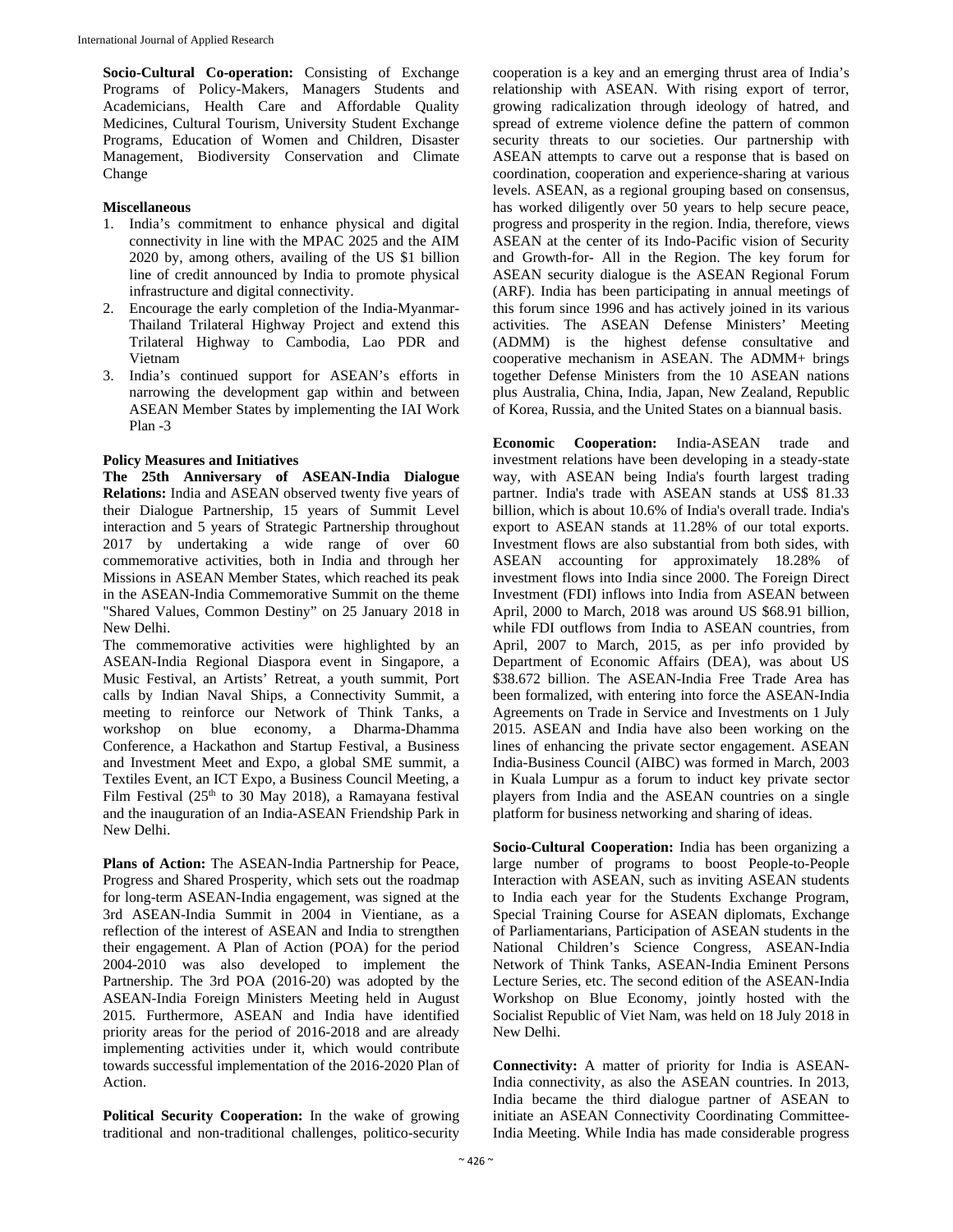**Socio-Cultural Co-operation:** Consisting of Exchange Programs of Policy-Makers, Managers Students and Academicians, Health Care and Affordable Quality Medicines, Cultural Tourism, University Student Exchange Programs, Education of Women and Children, Disaster Management, Biodiversity Conservation and Climate Change

# **Miscellaneous**

- 1. India's commitment to enhance physical and digital connectivity in line with the MPAC 2025 and the AIM 2020 by, among others, availing of the US \$1 billion line of credit announced by India to promote physical infrastructure and digital connectivity.
- 2. Encourage the early completion of the India-Myanmar-Thailand Trilateral Highway Project and extend this Trilateral Highway to Cambodia, Lao PDR and Vietnam
- 3. India's continued support for ASEAN's efforts in narrowing the development gap within and between ASEAN Member States by implementing the IAI Work Plan -3

# **Policy Measures and Initiatives**

**The 25th Anniversary of ASEAN-India Dialogue Relations:** India and ASEAN observed twenty five years of their Dialogue Partnership, 15 years of Summit Level interaction and 5 years of Strategic Partnership throughout 2017 by undertaking a wide range of over 60 commemorative activities, both in India and through her Missions in ASEAN Member States, which reached its peak in the ASEAN-India Commemorative Summit on the theme "Shared Values, Common Destiny" on 25 January 2018 in New Delhi.

The commemorative activities were highlighted by an ASEAN-India Regional Diaspora event in Singapore, a Music Festival, an Artists' Retreat, a youth summit, Port calls by Indian Naval Ships, a Connectivity Summit, a meeting to reinforce our Network of Think Tanks, a workshop on blue economy, a Dharma-Dhamma Conference, a Hackathon and Startup Festival, a Business and Investment Meet and Expo, a global SME summit, a Textiles Event, an ICT Expo, a Business Council Meeting, a Film Festival  $(25<sup>th</sup>$  to 30 May 2018), a Ramayana festival and the inauguration of an India-ASEAN Friendship Park in New Delhi.

**Plans of Action:** The ASEAN-India Partnership for Peace, Progress and Shared Prosperity, which sets out the roadmap for long-term ASEAN-India engagement, was signed at the 3rd ASEAN-India Summit in 2004 in Vientiane, as a reflection of the interest of ASEAN and India to strengthen their engagement. A Plan of Action (POA) for the period 2004-2010 was also developed to implement the Partnership. The 3rd POA (2016-20) was adopted by the ASEAN-India Foreign Ministers Meeting held in August 2015. Furthermore, ASEAN and India have identified priority areas for the period of 2016-2018 and are already implementing activities under it, which would contribute towards successful implementation of the 2016-2020 Plan of Action.

**Political Security Cooperation:** In the wake of growing traditional and non-traditional challenges, politico-security

cooperation is a key and an emerging thrust area of India's relationship with ASEAN. With rising export of terror, growing radicalization through ideology of hatred, and spread of extreme violence define the pattern of common security threats to our societies. Our partnership with ASEAN attempts to carve out a response that is based on coordination, cooperation and experience-sharing at various levels. ASEAN, as a regional grouping based on consensus, has worked diligently over 50 years to help secure peace, progress and prosperity in the region. India, therefore, views ASEAN at the center of its Indo-Pacific vision of Security and Growth-for- All in the Region. The key forum for ASEAN security dialogue is the ASEAN Regional Forum (ARF). India has been participating in annual meetings of this forum since 1996 and has actively joined in its various activities. The ASEAN Defense Ministers' Meeting (ADMM) is the highest defense consultative and cooperative mechanism in ASEAN. The ADMM+ brings together Defense Ministers from the 10 ASEAN nations plus Australia, China, India, Japan, New Zealand, Republic of Korea, Russia, and the United States on a biannual basis.

**Economic Cooperation:** India-ASEAN trade and investment relations have been developing in a steady-state way, with ASEAN being India's fourth largest trading partner. India's trade with ASEAN stands at US\$ 81.33 billion, which is about 10.6% of India's overall trade. India's export to ASEAN stands at 11.28% of our total exports. Investment flows are also substantial from both sides, with ASEAN accounting for approximately 18.28% of investment flows into India since 2000. The Foreign Direct Investment (FDI) inflows into India from ASEAN between April, 2000 to March, 2018 was around US \$68.91 billion, while FDI outflows from India to ASEAN countries, from April, 2007 to March, 2015, as per info provided by Department of Economic Affairs (DEA), was about US \$38.672 billion. The ASEAN-India Free Trade Area has been formalized, with entering into force the ASEAN-India Agreements on Trade in Service and Investments on 1 July 2015. ASEAN and India have also been working on the lines of enhancing the private sector engagement. ASEAN India-Business Council (AIBC) was formed in March, 2003 in Kuala Lumpur as a forum to induct key private sector players from India and the ASEAN countries on a single platform for business networking and sharing of ideas.

**Socio-Cultural Cooperation:** India has been organizing a large number of programs to boost People-to-People Interaction with ASEAN, such as inviting ASEAN students to India each year for the Students Exchange Program, Special Training Course for ASEAN diplomats, Exchange of Parliamentarians, Participation of ASEAN students in the National Children's Science Congress, ASEAN-India Network of Think Tanks, ASEAN-India Eminent Persons Lecture Series, etc. The second edition of the ASEAN-India Workshop on Blue Economy, jointly hosted with the Socialist Republic of Viet Nam, was held on 18 July 2018 in New Delhi.

**Connectivity:** A matter of priority for India is ASEAN-India connectivity, as also the ASEAN countries. In 2013, India became the third dialogue partner of ASEAN to initiate an ASEAN Connectivity Coordinating Committee-India Meeting. While India has made considerable progress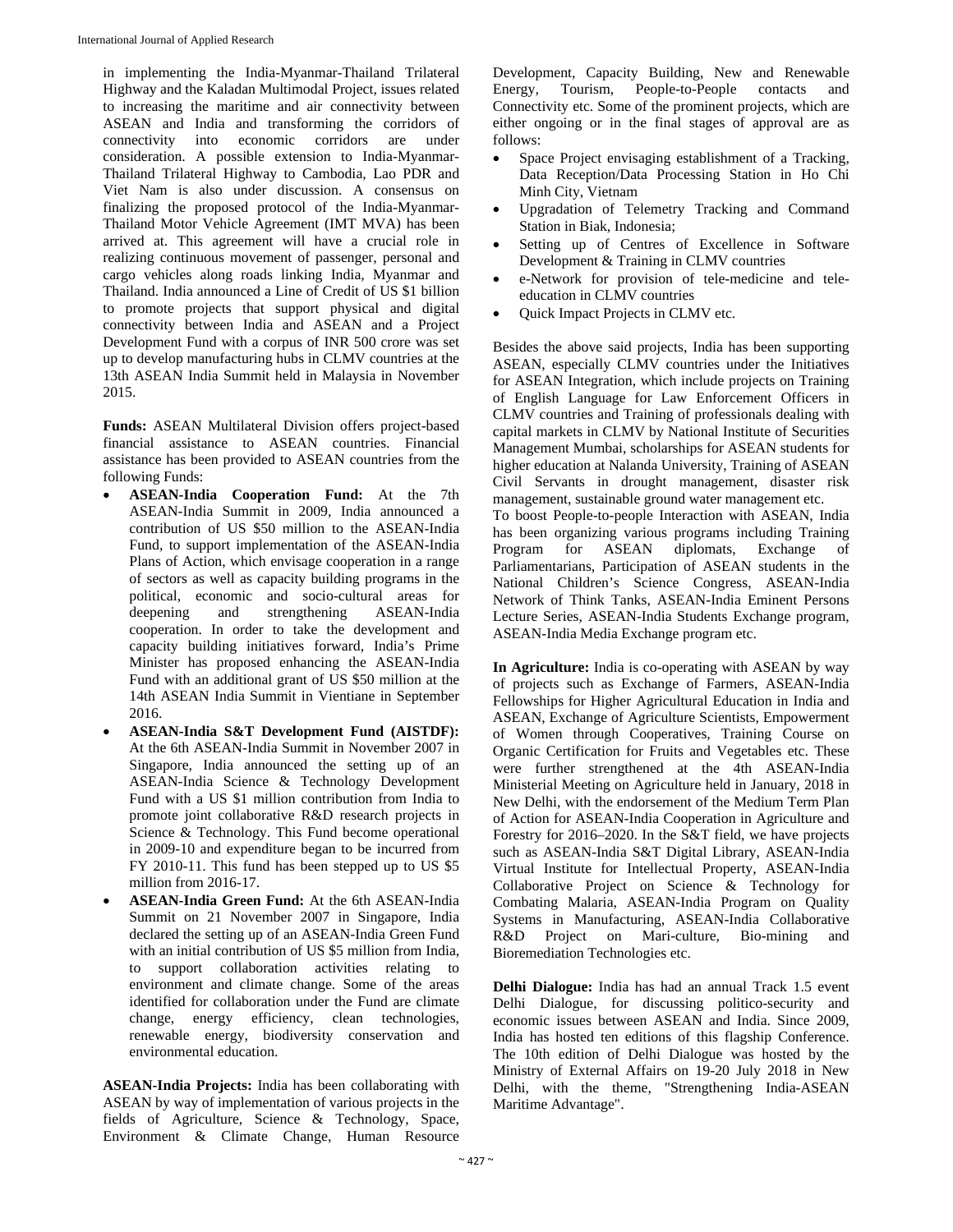in implementing the India-Myanmar-Thailand Trilateral Highway and the Kaladan Multimodal Project, issues related to increasing the maritime and air connectivity between ASEAN and India and transforming the corridors of connectivity into economic corridors are under consideration. A possible extension to India-Myanmar-Thailand Trilateral Highway to Cambodia, Lao PDR and Viet Nam is also under discussion. A consensus on finalizing the proposed protocol of the India-Myanmar-Thailand Motor Vehicle Agreement (IMT MVA) has been arrived at. This agreement will have a crucial role in realizing continuous movement of passenger, personal and cargo vehicles along roads linking India, Myanmar and Thailand. India announced a Line of Credit of US \$1 billion to promote projects that support physical and digital connectivity between India and ASEAN and a Project Development Fund with a corpus of INR 500 crore was set up to develop manufacturing hubs in CLMV countries at the 13th ASEAN India Summit held in Malaysia in November 2015.

**Funds:** ASEAN Multilateral Division offers project-based financial assistance to ASEAN countries. Financial assistance has been provided to ASEAN countries from the following Funds:

- **ASEAN-India Cooperation Fund:** At the 7th ASEAN-India Summit in 2009, India announced a contribution of US \$50 million to the ASEAN-India Fund, to support implementation of the ASEAN-India Plans of Action, which envisage cooperation in a range of sectors as well as capacity building programs in the political, economic and socio-cultural areas for deepening and strengthening ASEAN-India cooperation. In order to take the development and capacity building initiatives forward, India's Prime Minister has proposed enhancing the ASEAN-India Fund with an additional grant of US \$50 million at the 14th ASEAN India Summit in Vientiane in September 2016.
- **ASEAN-India S&T Development Fund (AISTDF):**  At the 6th ASEAN-India Summit in November 2007 in Singapore, India announced the setting up of an ASEAN-India Science & Technology Development Fund with a US \$1 million contribution from India to promote joint collaborative R&D research projects in Science & Technology. This Fund become operational in 2009-10 and expenditure began to be incurred from FY 2010-11. This fund has been stepped up to US \$5 million from 2016-17.
- **ASEAN-India Green Fund:** At the 6th ASEAN-India Summit on 21 November 2007 in Singapore, India declared the setting up of an ASEAN-India Green Fund with an initial contribution of US \$5 million from India, to support collaboration activities relating to environment and climate change. Some of the areas identified for collaboration under the Fund are climate change, energy efficiency, clean technologies, renewable energy, biodiversity conservation and environmental education.

**ASEAN-India Projects:** India has been collaborating with ASEAN by way of implementation of various projects in the fields of Agriculture, Science & Technology, Space, Environment & Climate Change, Human Resource

Development, Capacity Building, New and Renewable Energy, Tourism, People-to-People contacts and Connectivity etc. Some of the prominent projects, which are either ongoing or in the final stages of approval are as follows:

- Space Project envisaging establishment of a Tracking, Data Reception/Data Processing Station in Ho Chi Minh City, Vietnam
- Upgradation of Telemetry Tracking and Command Station in Biak, Indonesia;
- Setting up of Centres of Excellence in Software Development & Training in CLMV countries
- e-Network for provision of tele-medicine and teleeducation in CLMV countries
- Quick Impact Projects in CLMV etc.

Besides the above said projects, India has been supporting ASEAN, especially CLMV countries under the Initiatives for ASEAN Integration, which include projects on Training of English Language for Law Enforcement Officers in CLMV countries and Training of professionals dealing with capital markets in CLMV by National Institute of Securities Management Mumbai, scholarships for ASEAN students for higher education at Nalanda University, Training of ASEAN Civil Servants in drought management, disaster risk management, sustainable ground water management etc. To boost People-to-people Interaction with ASEAN, India has been organizing various programs including Training Program for ASEAN diplomats, Exchange of Parliamentarians, Participation of ASEAN students in the National Children's Science Congress, ASEAN-India Network of Think Tanks, ASEAN-India Eminent Persons Lecture Series, ASEAN-India Students Exchange program, ASEAN-India Media Exchange program etc.

**In Agriculture:** India is co-operating with ASEAN by way of projects such as Exchange of Farmers, ASEAN-India Fellowships for Higher Agricultural Education in India and ASEAN, Exchange of Agriculture Scientists, Empowerment of Women through Cooperatives, Training Course on Organic Certification for Fruits and Vegetables etc. These were further strengthened at the 4th ASEAN-India Ministerial Meeting on Agriculture held in January, 2018 in New Delhi, with the endorsement of the Medium Term Plan of Action for ASEAN-India Cooperation in Agriculture and Forestry for 2016–2020. In the S&T field, we have projects such as ASEAN-India S&T Digital Library, ASEAN-India Virtual Institute for Intellectual Property, ASEAN-India Collaborative Project on Science & Technology for Combating Malaria, ASEAN-India Program on Quality Systems in Manufacturing, ASEAN-India Collaborative R&D Project on Mari-culture, Bio-mining and Bioremediation Technologies etc.

**Delhi Dialogue:** India has had an annual Track 1.5 event Delhi Dialogue, for discussing politico-security and economic issues between ASEAN and India. Since 2009, India has hosted ten editions of this flagship Conference. The 10th edition of Delhi Dialogue was hosted by the Ministry of External Affairs on 19-20 July 2018 in New Delhi, with the theme, "Strengthening India-ASEAN Maritime Advantage".